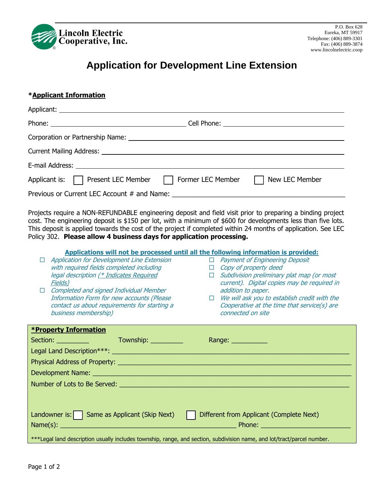

## **Application for Development Line Extension**

## **\*Applicant Information**

| Applicant is: \Rightarrow Present LEC Member \Rightarrow Former LEC Member \Rightarrow New LEC Member |  |
|-------------------------------------------------------------------------------------------------------|--|
|                                                                                                       |  |

Projects require a NON-REFUNDABLE engineering deposit and field visit prior to preparing a binding project cost. The engineering deposit is \$150 per lot, with a minimum of \$600 for developments less than five lots. This deposit is applied towards the cost of the project if completed within 24 months of application. See LEC Policy 302. **Please allow 4 business days for application processing.**

| Applications will not be processed until all the following information is provided:                                     |                                                     |  |  |  |  |
|-------------------------------------------------------------------------------------------------------------------------|-----------------------------------------------------|--|--|--|--|
| Application for Development Line Extension                                                                              | □ Payment of Engineering Deposit                    |  |  |  |  |
| with required fields completed including                                                                                | $\Box$ Copy of property deed                        |  |  |  |  |
| legal description (* Indicates Required                                                                                 | $\Box$ Subdivision preliminary plat map (or most    |  |  |  |  |
| Fields)                                                                                                                 | current). Digital copies may be required in         |  |  |  |  |
| <b>Completed and signed Individual Member</b><br>П                                                                      | addition to paper.                                  |  |  |  |  |
| <b>Information Form for new accounts (Please</b>                                                                        | $\Box$ We will ask you to establish credit with the |  |  |  |  |
| contact us about requirements for starting a                                                                            | Cooperative at the time that service(s) are         |  |  |  |  |
| business membership)                                                                                                    | connected on site                                   |  |  |  |  |
|                                                                                                                         |                                                     |  |  |  |  |
| <b>*Property Information</b>                                                                                            |                                                     |  |  |  |  |
| Township: ____________                                                                                                  | Range: ___________                                  |  |  |  |  |
|                                                                                                                         |                                                     |  |  |  |  |
|                                                                                                                         |                                                     |  |  |  |  |
|                                                                                                                         |                                                     |  |  |  |  |
|                                                                                                                         |                                                     |  |  |  |  |
|                                                                                                                         |                                                     |  |  |  |  |
|                                                                                                                         |                                                     |  |  |  |  |
|                                                                                                                         |                                                     |  |  |  |  |
| Landowner is: $\vert$ Same as Applicant (Skip Next)<br>Different from Applicant (Complete Next)                         |                                                     |  |  |  |  |
|                                                                                                                         |                                                     |  |  |  |  |
|                                                                                                                         |                                                     |  |  |  |  |
| ***Legal land description usually includes township, range, and section, subdivision name, and lot/tract/parcel number. |                                                     |  |  |  |  |